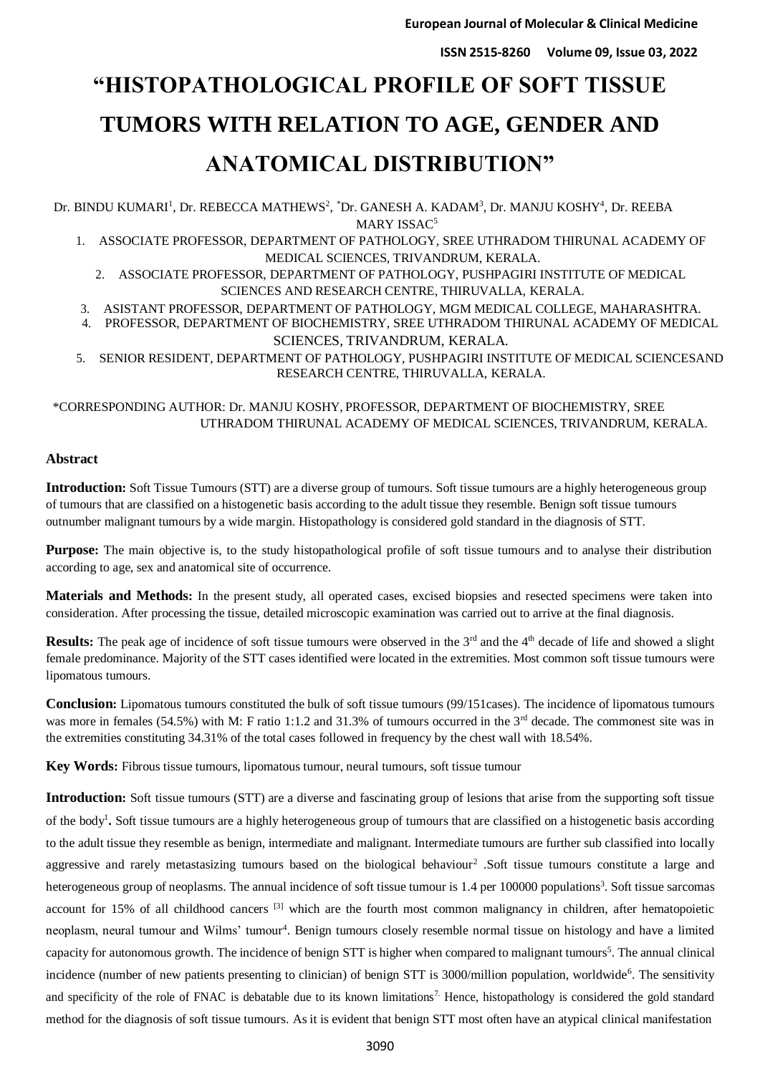# **"HISTOPATHOLOGICAL PROFILE OF SOFT TISSUE TUMORS WITH RELATION TO AGE, GENDER AND ANATOMICAL DISTRIBUTION"**

Dr. BINDU KUMARI<sup>1</sup>, Dr. REBECCA MATHEWS<sup>2</sup>, \*Dr. GANESH A. KADAM<sup>3</sup>, Dr. MANJU KOSHY<sup>4</sup>, Dr. REEBA MARY ISSAC<sup>5</sup>

1. ASSOCIATE PROFESSOR, DEPARTMENT OF PATHOLOGY, SREE UTHRADOM THIRUNAL ACADEMY OF MEDICAL SCIENCES, TRIVANDRUM, KERALA.

2. ASSOCIATE PROFESSOR, DEPARTMENT OF PATHOLOGY, PUSHPAGIRI INSTITUTE OF MEDICAL SCIENCES AND RESEARCH CENTRE, THIRUVALLA, KERALA.

- 3. ASISTANT PROFESSOR, DEPARTMENT OF PATHOLOGY, MGM MEDICAL COLLEGE, MAHARASHTRA.
- 4. PROFESSOR, DEPARTMENT OF BIOCHEMISTRY, SREE UTHRADOM THIRUNAL ACADEMY OF MEDICAL SCIENCES, TRIVANDRUM, KERALA.

5. SENIOR RESIDENT, DEPARTMENT OF PATHOLOGY, PUSHPAGIRI INSTITUTE OF MEDICAL SCIENCESAND RESEARCH CENTRE, THIRUVALLA, KERALA.

\*CORRESPONDING AUTHOR: Dr. MANJU KOSHY, PROFESSOR, DEPARTMENT OF BIOCHEMISTRY, SREE UTHRADOM THIRUNAL ACADEMY OF MEDICAL SCIENCES, TRIVANDRUM, KERALA.

## **Abstract**

**Introduction:** Soft Tissue Tumours (STT) are a diverse group of tumours. Soft tissue tumours are a highly heterogeneous group of tumours that are classified on a histogenetic basis according to the adult tissue they resemble. Benign soft tissue tumours outnumber malignant tumours by a wide margin. Histopathology is considered gold standard in the diagnosis of STT.

**Purpose:** The main objective is, to the study histopathological profile of soft tissue tumours and to analyse their distribution according to age, sex and anatomical site of occurrence.

**Materials and Methods:** In the present study, all operated cases, excised biopsies and resected specimens were taken into consideration. After processing the tissue, detailed microscopic examination was carried out to arrive at the final diagnosis.

**Results:** The peak age of incidence of soft tissue tumours were observed in the 3<sup>rd</sup> and the 4<sup>th</sup> decade of life and showed a slight female predominance. Majority of the STT cases identified were located in the extremities. Most common soft tissue tumours were lipomatous tumours.

**Conclusion:** Lipomatous tumours constituted the bulk of soft tissue tumours (99/151cases). The incidence of lipomatous tumours was more in females (54.5%) with M: F ratio 1:1.2 and 31.3% of tumours occurred in the 3<sup>rd</sup> decade. The commonest site was in the extremities constituting 34.31% of the total cases followed in frequency by the chest wall with 18.54%.

**Key Words:** Fibrous tissue tumours, lipomatous tumour, neural tumours, soft tissue tumour

**Introduction:** Soft tissue tumours (STT) are a diverse and fascinating group of lesions that arise from the supporting soft tissue of the body<sup>1</sup>. Soft tissue tumours are a highly heterogeneous group of tumours that are classified on a histogenetic basis according to the adult tissue they resemble as benign, intermediate and malignant. Intermediate tumours are further sub classified into locally aggressive and rarely metastasizing tumours based on the biological behaviour<sup>2</sup>. Soft tissue tumours constitute a large and heterogeneous group of neoplasms. The annual incidence of soft tissue tumour is 1.4 per 100000 populations<sup>3</sup>. Soft tissue sarcomas account for 15% of all childhood cancers  $\left[3\right]$  which are the fourth most common malignancy in children, after hematopoietic neoplasm, neural tumour and Wilms' tumour<sup>4</sup>. Benign tumours closely resemble normal tissue on histology and have a limited capacity for autonomous growth. The incidence of benign STT is higher when compared to malignant tumours<sup>5</sup>. The annual clinical incidence (number of new patients presenting to clinician) of benign STT is 3000/million population, worldwide<sup>6</sup>. The sensitivity and specificity of the role of FNAC is debatable due to its known limitations<sup>7</sup>. Hence, histopathology is considered the gold standard method for the diagnosis of soft tissue tumours. As it is evident that benign STT most often have an atypical clinical manifestation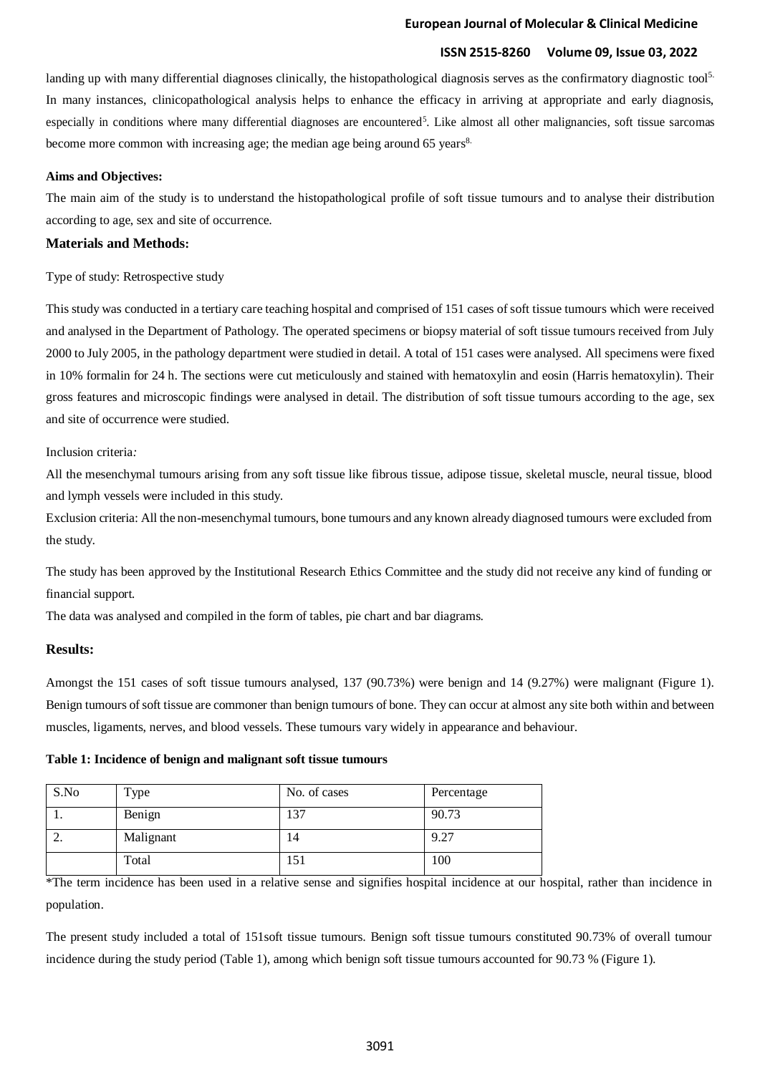#### **European Journal of Molecular & Clinical Medicine**

# **ISSN 2515-8260 Volume 09, Issue 03, 2022**

landing up with many differential diagnoses clinically, the histopathological diagnosis serves as the confirmatory diagnostic tool<sup>5.</sup> In many instances, clinicopathological analysis helps to enhance the efficacy in arriving at appropriate and early diagnosis, especially in conditions where many differential diagnoses are encountered<sup>5</sup>. Like almost all other malignancies, soft tissue sarcomas become more common with increasing age; the median age being around 65 years<sup>8.</sup>

#### **Aims and Objectives:**

The main aim of the study is to understand the histopathological profile of soft tissue tumours and to analyse their distribution according to age, sex and site of occurrence.

#### **Materials and Methods:**

#### Type of study: Retrospective study

This study was conducted in a tertiary care teaching hospital and comprised of 151 cases of soft tissue tumours which were received and analysed in the Department of Pathology. The operated specimens or biopsy material of soft tissue tumours received from July 2000 to July 2005, in the pathology department were studied in detail. A total of 151 cases were analysed. All specimens were fixed in 10% formalin for 24 h. The sections were cut meticulously and stained with hematoxylin and eosin (Harris hematoxylin). Their gross features and microscopic findings were analysed in detail. The distribution of soft tissue tumours according to the age, sex and site of occurrence were studied.

#### Inclusion criteria*:*

All the mesenchymal tumours arising from any soft tissue like fibrous tissue, adipose tissue, skeletal muscle, neural tissue, blood and lymph vessels were included in this study.

Exclusion criteria: All the non-mesenchymal tumours, bone tumours and any known already diagnosed tumours were excluded from the study.

The study has been approved by the Institutional Research Ethics Committee and the study did not receive any kind of funding or financial support*.*

The data was analysed and compiled in the form of tables, pie chart and bar diagrams.

#### **Results:**

Amongst the 151 cases of soft tissue tumours analysed, 137 (90.73%) were benign and 14 (9.27%) were malignant (Figure 1). Benign tumours of soft tissue are commoner than benign tumours of bone. They can occur at almost any site both within and between muscles, ligaments, nerves, and blood vessels. These tumours vary widely in appearance and behaviour.

#### **Table 1: Incidence of benign and malignant soft tissue tumours**

| S.No | Type      | No. of cases | Percentage |
|------|-----------|--------------|------------|
| .,   | Benign    | 137          | 90.73      |
|      | Malignant | 14           | 9.27       |
|      | Total     | 151          | 100        |

\*The term incidence has been used in a relative sense and signifies hospital incidence at our hospital, rather than incidence in population.

The present study included a total of 151soft tissue tumours. Benign soft tissue tumours constituted 90.73% of overall tumour incidence during the study period (Table 1), among which benign soft tissue tumours accounted for 90.73 % (Figure 1).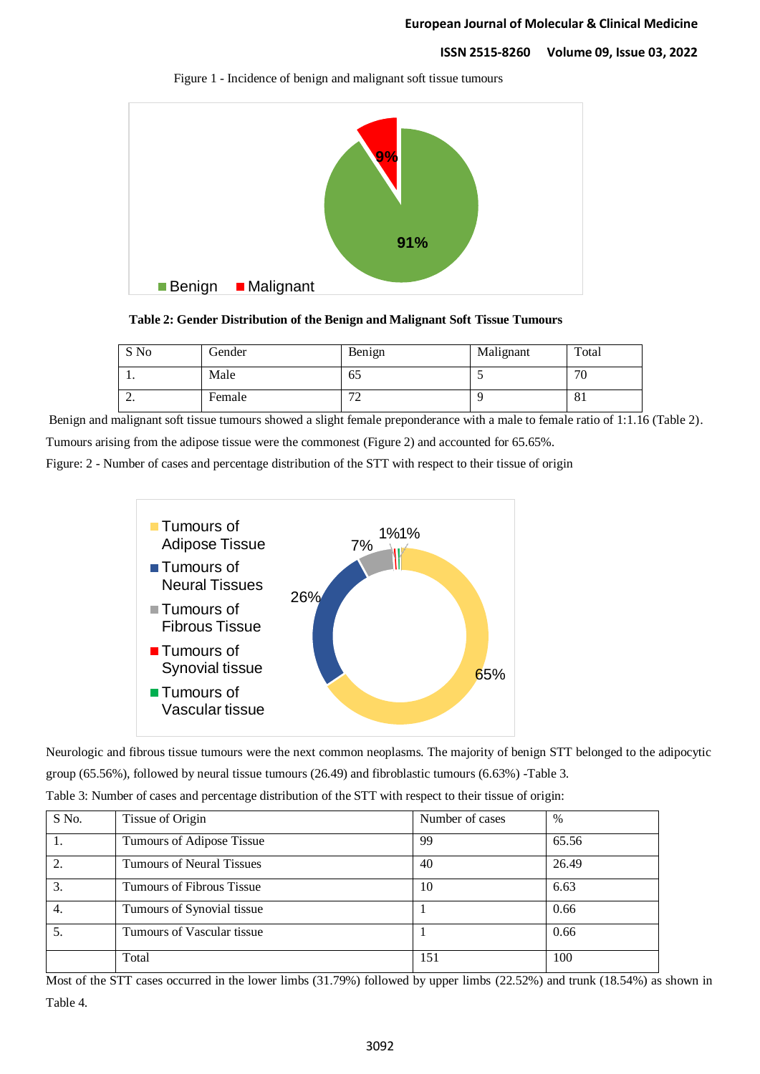

Figure 1 - Incidence of benign and malignant soft tissue tumours

**Table 2: Gender Distribution of the Benign and Malignant Soft Tissue Tumours**

| S No     | Gender | Benign            | Malignant | Total |
|----------|--------|-------------------|-----------|-------|
| . .      | Male   | 6C                |           | 70    |
| <u>.</u> | Female | $\mathbf{a}$<br>∸ |           | 81    |

Benign and malignant soft tissue tumours showed a slight female preponderance with a male to female ratio of 1:1.16 (Table 2). Tumours arising from the adipose tissue were the commonest (Figure 2) and accounted for 65.65%.

Figure: 2 - Number of cases and percentage distribution of the STT with respect to their tissue of origin



Neurologic and fibrous tissue tumours were the next common neoplasms. The majority of benign STT belonged to the adipocytic group (65.56%), followed by neural tissue tumours (26.49) and fibroblastic tumours (6.63%) -Table 3.

| Table 3: Number of cases and percentage distribution of the STT with respect to their tissue of origin: |  |
|---------------------------------------------------------------------------------------------------------|--|
|                                                                                                         |  |

| S No. | Tissue of Origin                 | Number of cases | $\%$  |
|-------|----------------------------------|-----------------|-------|
|       | Tumours of Adipose Tissue        | 99              | 65.56 |
| 2.    | <b>Tumours of Neural Tissues</b> | 40              | 26.49 |
| 3.    | Tumours of Fibrous Tissue        | 10              | 6.63  |
| 4.    | Tumours of Synovial tissue       |                 | 0.66  |
| 5.    | Tumours of Vascular tissue       |                 | 0.66  |
|       | Total                            | 151             | 100   |

Most of the STT cases occurred in the lower limbs (31.79%) followed by upper limbs (22.52%) and trunk (18.54%) as shown in Table 4.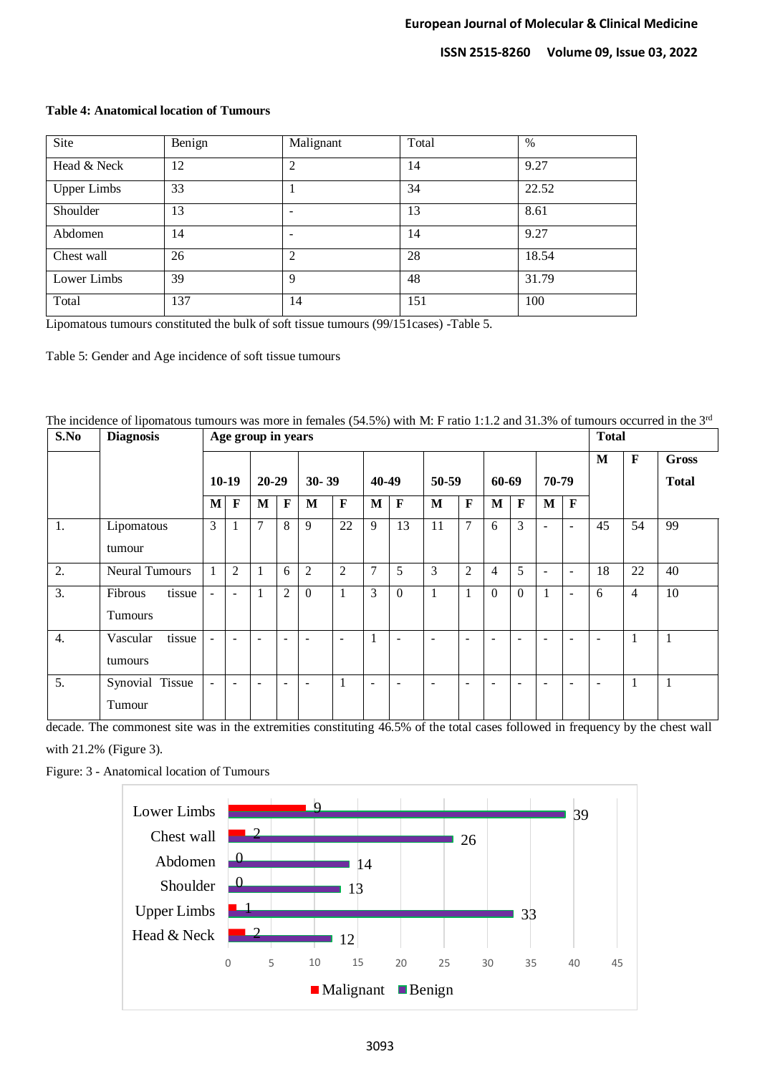| Site               | Benign | Malignant | Total | $\%$  |
|--------------------|--------|-----------|-------|-------|
| Head & Neck        | 12     | ◠         | 14    | 9.27  |
| <b>Upper Limbs</b> | 33     |           | 34    | 22.52 |
| Shoulder           | 13     |           | 13    | 8.61  |
| Abdomen            | 14     |           | 14    | 9.27  |
| Chest wall         | 26     |           | 28    | 18.54 |
| Lower Limbs        | 39     | O         | 48    | 31.79 |
| Total              | 137    | 14        | 151   | 100   |

#### **Table 4: Anatomical location of Tumours**

Lipomatous tumours constituted the bulk of soft tissue tumours (99/151cases) -Table 5.

Table 5: Gender and Age incidence of soft tissue tumours

| The incidence of lipomatous tumours was more in females (54.5%) with M: F ratio 1:1.2 and 31.3% of tumours occurred in the 3 <sup>rd</sup> |  |  |
|--------------------------------------------------------------------------------------------------------------------------------------------|--|--|
|                                                                                                                                            |  |  |

| S.No | <b>Diagnosis</b>      |                | Age group in years       |                          |                |                |                          |                          |                          |                          |                | <b>Total</b>             |                          |                          |                          |                          |                |              |
|------|-----------------------|----------------|--------------------------|--------------------------|----------------|----------------|--------------------------|--------------------------|--------------------------|--------------------------|----------------|--------------------------|--------------------------|--------------------------|--------------------------|--------------------------|----------------|--------------|
|      |                       |                |                          |                          |                |                |                          |                          |                          |                          |                |                          |                          |                          |                          | M                        | F              | <b>Gross</b> |
|      |                       | $10-19$        |                          | $20 - 29$                |                | $30 - 39$      |                          | 40-49                    |                          | 50-59                    |                | 60-69                    |                          |                          | 70-79                    |                          |                | <b>Total</b> |
|      |                       | $\mathbf{M}$   | $\mathbf F$              | M                        | $\mathbf F$    | M              | $\mathbf F$              | M                        | $\mathbf F$              | M                        | $\mathbf F$    | $\mathbf{M}$             | $\mathbf F$              | M                        | $\mathbf F$              |                          |                |              |
| 1.   | Lipomatous            | 3              | -1                       | $\tau$                   | 8              | 9              | 22                       | 9                        | 13                       | 11                       | $\overline{7}$ | 6                        | 3                        | $\overline{\phantom{a}}$ | $\blacksquare$           | 45                       | 54             | 99           |
|      | tumour                |                |                          |                          |                |                |                          |                          |                          |                          |                |                          |                          |                          |                          |                          |                |              |
| 2.   | <b>Neural Tumours</b> | $\mathbf{1}$   | $\overline{2}$           |                          | 6              | $\overline{2}$ | $\mathfrak{2}$           | $\overline{7}$           | 5                        | 3                        | $\overline{2}$ | 4                        | 5                        | $\overline{\phantom{a}}$ | $\overline{\phantom{a}}$ | 18                       | 22             | 40           |
| 3.   | Fibrous<br>tissue     | $\blacksquare$ | $\overline{\phantom{a}}$ |                          | $\overline{2}$ | $\theta$       |                          | 3                        | $\Omega$                 |                          | 1              | $\theta$                 | $\theta$                 |                          | $\blacksquare$           | 6                        | $\overline{4}$ | 10           |
|      | <b>Tumours</b>        |                |                          |                          |                |                |                          |                          |                          |                          |                |                          |                          |                          |                          |                          |                |              |
| 4.   | Vascular<br>tissue    | $\sim$         | $\overline{\phantom{a}}$ | $\overline{a}$           | ٠              | ÷              | $\overline{\phantom{a}}$ | 1                        | $\overline{a}$           | ۰.                       | $\sim$         | $\overline{\phantom{a}}$ | $\overline{\phantom{a}}$ | $\overline{\phantom{0}}$ | $\overline{\phantom{a}}$ | ٠                        | 1              | 1            |
|      | tumours               |                |                          |                          |                |                |                          |                          |                          |                          |                |                          |                          |                          |                          |                          |                |              |
| 5.   | Synovial Tissue       | $\equiv$       | $\overline{a}$           | $\overline{\phantom{a}}$ | ۰              | ÷              |                          | $\overline{\phantom{a}}$ | $\overline{\phantom{0}}$ | $\overline{\phantom{0}}$ | $\sim$         | $\overline{\phantom{a}}$ | $\overline{\phantom{a}}$ | ÷                        | $\overline{\phantom{a}}$ | $\overline{\phantom{0}}$ | 1              | 1            |
|      | Tumour                |                |                          |                          |                |                |                          |                          |                          |                          |                |                          |                          |                          |                          |                          |                |              |

decade. The commonest site was in the extremities constituting 46.5% of the total cases followed in frequency by the chest wall with 21.2% (Figure 3).

Figure: 3 - Anatomical location of Tumours

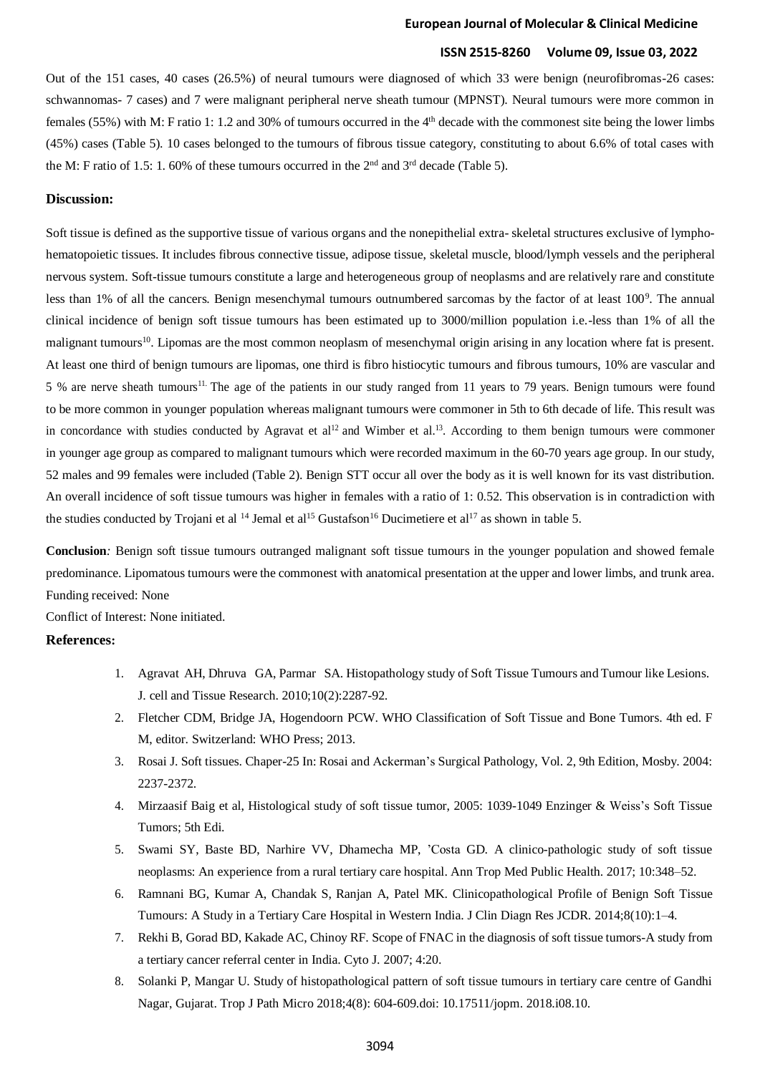#### **European Journal of Molecular & Clinical Medicine**

## **ISSN 2515-8260 Volume 09, Issue 03, 2022**

Out of the 151 cases, 40 cases (26.5%) of neural tumours were diagnosed of which 33 were benign (neurofibromas-26 cases: schwannomas- 7 cases) and 7 were malignant peripheral nerve sheath tumour (MPNST). Neural tumours were more common in females (55%) with M: F ratio 1: 1.2 and 30% of tumours occurred in the 4<sup>th</sup> decade with the commonest site being the lower limbs (45%) cases (Table 5). 10 cases belonged to the tumours of fibrous tissue category, constituting to about 6.6% of total cases with the M: F ratio of 1.5: 1. 60% of these tumours occurred in the  $2<sup>nd</sup>$  and  $3<sup>rd</sup>$  decade (Table 5).

#### **Discussion:**

Soft tissue is defined as the supportive tissue of various organs and the nonepithelial extra- skeletal structures exclusive of lymphohematopoietic tissues. It includes fibrous connective tissue, adipose tissue, skeletal muscle, blood/lymph vessels and the peripheral nervous system. Soft-tissue tumours constitute a large and heterogeneous group of neoplasms and are relatively rare and constitute less than 1% of all the cancers. Benign mesenchymal tumours outnumbered sarcomas by the factor of at least 100<sup>9</sup>. The annual clinical incidence of benign soft tissue tumours has been estimated up to 3000/million population i.e.-less than 1% of all the malignant tumours<sup>10</sup>. Lipomas are the most common neoplasm of mesenchymal origin arising in any location where fat is present. At least one third of benign tumours are lipomas, one third is fibro histiocytic tumours and fibrous tumours, 10% are vascular and 5 % are nerve sheath tumours<sup>11.</sup> The age of the patients in our study ranged from 11 years to 79 years. Benign tumours were found to be more common in younger population whereas malignant tumours were commoner in 5th to 6th decade of life. This result was in concordance with studies conducted by Agravat et al<sup>12</sup> and Wimber et al.<sup>13</sup>. According to them benign tumours were commoner in younger age group as compared to malignant tumours which were recorded maximum in the 60-70 years age group. In our study, 52 males and 99 females were included (Table 2). Benign STT occur all over the body as it is well known for its vast distribution. An overall incidence of soft tissue tumours was higher in females with a ratio of 1: 0.52. This observation is in contradiction with the studies conducted by Trojani et al <sup>14</sup> Jemal et al<sup>15</sup> Gustafson<sup>16</sup> Ducimetiere et al<sup>17</sup> as shown in table 5.

**Conclusion***:* Benign soft tissue tumours outranged malignant soft tissue tumours in the younger population and showed female predominance. Lipomatous tumours were the commonest with anatomical presentation at the upper and lower limbs, and trunk area. Funding received: None

Conflict of Interest: None initiated.

## **References:**

- 1. Agravat AH, Dhruva GA, Parmar SA. Histopathology study of Soft Tissue Tumours and Tumour like Lesions. J. cell and Tissue Research. 2010;10(2):2287-92.
- 2. Fletcher CDM, Bridge JA, Hogendoorn PCW. WHO Classification of Soft Tissue and Bone Tumors. 4th ed. F M, editor. Switzerland: WHO Press; 2013.
- 3. Rosai J. Soft tissues. Chaper-25 In: Rosai and Ackerman's Surgical Pathology, Vol. 2, 9th Edition, Mosby. 2004: 2237-2372.
- 4. Mirzaasif Baig et al, Histological study of soft tissue tumor, 2005: 1039-1049 Enzinger & Weiss's Soft Tissue Tumors; 5th Edi.
- 5. Swami SY, Baste BD, Narhire VV, Dhamecha MP, 'Costa GD. A clinico-pathologic study of soft tissue neoplasms: An experience from a rural tertiary care hospital. Ann Trop Med Public Health. 2017; 10:348–52.
- 6. Ramnani BG, Kumar A, Chandak S, Ranjan A, Patel MK. Clinicopathological Profile of Benign Soft Tissue Tumours: A Study in a Tertiary Care Hospital in Western India. J Clin Diagn Res JCDR. 2014;8(10):1–4.
- 7. Rekhi B, Gorad BD, Kakade AC, Chinoy RF. Scope of FNAC in the diagnosis of soft tissue tumors-A study from a tertiary cancer referral center in India. Cyto J. 2007; 4:20.
- 8. Solanki P, Mangar U. Study of histopathological pattern of soft tissue tumours in tertiary care centre of Gandhi Nagar, Gujarat. Trop J Path Micro 2018;4(8): 604-609.doi: 10.17511/jopm. 2018.i08.10.